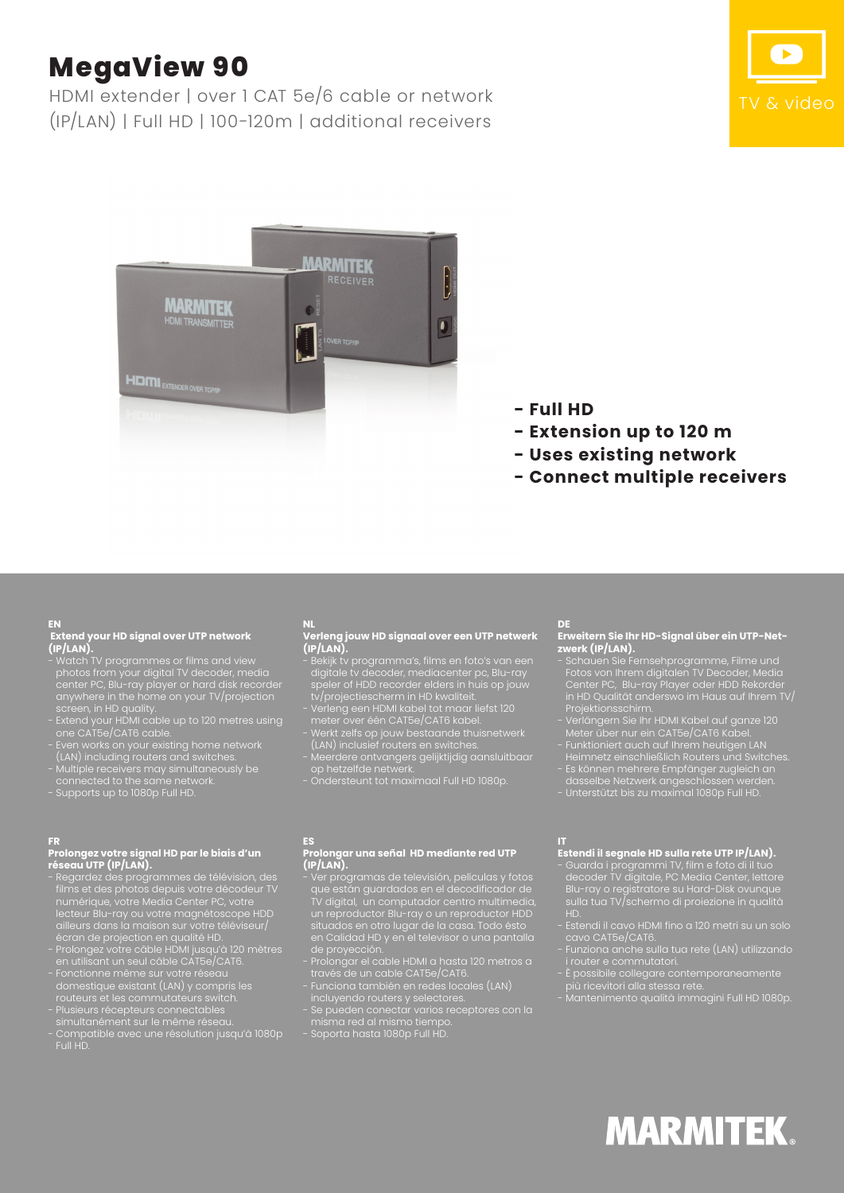# **MegaView 90**

HDMI extender | over 1 CAT 5e/6 cable or network (IP/LAN) | Full HD | 100-120m | additional receivers





- **Full HD**
- **Extension up to 120 m**
- **Uses existing network**
- **Connect multiple receivers**

### **EN**

### **Extend your HD signal over UTP network (IP/LAN).**

- Watch TV programmes or films and view photos from your digital TV decoder, media center PC, Blu-ray player or hard disk recorder anywhere in the home on your TV/projection screen, in HD quality.
- Extend your HDMI cable up to 120 metres using one CAT5e/CAT6 cable.
- Even works on your existing home network (LAN) including routers and switches.
- Multiple receivers may simultaneously be connected to the same network.
- Supports up to 1080p Full HD.

### **FR**

### **Prolongez votre signal HD par le biais d'un réseau UTP (IP/LAN).**

- Regardez des programmes de télévision, des films et des photos depuis votre décodeur TV numérique, votre Media Center PC, votre lecteur Blu-ray ou votre magnétoscope HDD ailleurs dans la maison sur votre téléviseur/ écran de projection en qualité HD.
- Prolongez votre câble HDMI jusqu'à 120 mètres en utilisant un seul câble CAT5e/CAT6.
- Fonctionne même sur votre réseau domestique existant (LAN) y compris les routeurs et les commutateurs switch.
- Plusieurs récepteurs connectables simultanément sur le même réseau.
- Compatible avec une résolution jusqu'à 1080p Full HD.

### **NL**

### **Verleng jouw HD signaal over een UTP netwerk (IP/LAN).**

- Bekijk tv programma's, films en foto's van een digitale tv decoder, mediacenter pc, Blu-ray speler of HDD recorder elders in huis op jouw
- tv/projectiescherm in HD kwaliteit. - Verleng een HDMI kabel tot maar liefst 120
- meter over één CAT5e/CAT6 kabel. - Werkt zelfs op jouw bestaande thuisnetwerk
- (LAN) inclusief routers en switches. - Meerdere ontvangers gelijktijdig aansluitbaar
- op hetzelfde netwerk.

### **ES**

### **Prolongar una señal HD mediante red UTP (IP/LAN).**

- Ver programas de televisión, películas y fotos que están guardados en el decodificador de TV digital, un computador centro multimedia, un reproductor Blu-ray o un reproductor HDD situados en otro lugar de la casa. Todo ésto en Calidad HD y en el televisor o una pantalla de proyección.
- Prolongar el cable HDMI a hasta 120 metros a través de un cable CAT5e/CAT6.
- Funciona también en redes locales (LAN)
- incluyendo routers y selectores. - Se pueden conectar varios receptores con la
- misma red al mismo tiempo.

### - Soporta hasta 1080p Full HD.

### **DE**

### **Erweitern Sie Ihr HD-Signal über ein UTP-Netzwerk (IP/LAN).**

- Schauen Sie Fernsehprogramme, Filme und Fotos von Ihrem digitalen TV Decoder, Media Center PC, Blu-ray Player oder HDD Rekorder in HD Qualität anderswo im Haus auf Ihrem TV/ Projektionsschirm.
- Verlängern Sie Ihr HDMI Kabel auf ganze 120 Meter über nur ein CAT5e/CAT6 Kabel.
- Funktioniert auch auf Ihrem heutigen LAN
- Heimnetz einschließlich Routers und Switches. - Es können mehrere Empfänger zugleich an
- dasselbe Netzwerk angeschlossen werden. - Unterstützt bis zu maximal 1080p Full HD.

### **Estendi il segnale HD sulla rete UTP IP/LAN).**

- Guarda i programmi TV, film e foto di il tuo decoder TV digitale, PC Media Center, lettore Blu-ray o registratore su Hard-Disk ovunque sulla tua TV/schermo di proiezione in qualità HD.
- Estendi il cavo HDMI fino a 120 metri su un solo cavo CAT5e/CAT6.
- Funziona anche sulla tua rete (LAN) utilizzando i router e commutatori.
- È possibile collegare contemporaneamente più ricevitori alla stessa rete.
- Mantenimento qualità immagini Full HD 1080p.